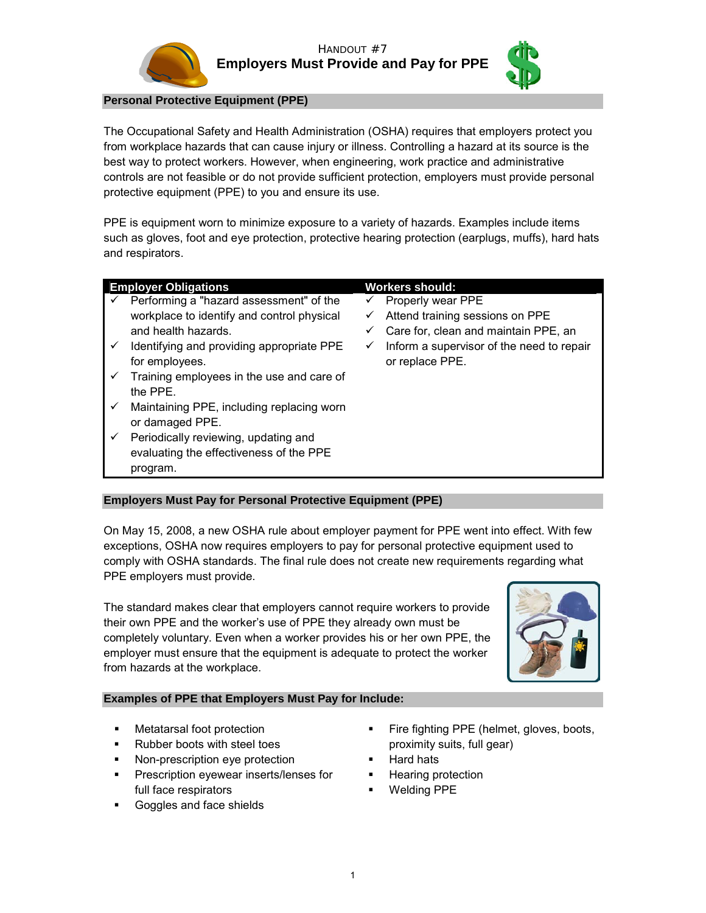



**Personal Protective Equipment (PPE)** 

The Occupational Safety and Health Administration (OSHA) requires that employers protect you from workplace hazards that can cause injury or illness. Controlling a hazard at its source is the best way to protect workers. However, when engineering, work practice and administrative controls are not feasible or do not provide sufficient protection, employers must provide personal protective equipment (PPE) to you and ensure its use.

PPE is equipment worn to minimize exposure to a variety of hazards. Examples include items such as gloves, foot and eye protection, protective hearing protection (earplugs, muffs), hard hats and respirators.

| <b>Employer Obligations</b> |                                            |   | Workers should:                           |  |
|-----------------------------|--------------------------------------------|---|-------------------------------------------|--|
|                             | Performing a "hazard assessment" of the    | ✓ | Properly wear PPE                         |  |
|                             | workplace to identify and control physical | ✓ | Attend training sessions on PPE           |  |
|                             | and health hazards.                        | ✓ | Care for, clean and maintain PPE, an      |  |
| ✓                           | Identifying and providing appropriate PPE  | ✓ | Inform a supervisor of the need to repair |  |
|                             | for employees.                             |   | or replace PPE.                           |  |
|                             | Training employees in the use and care of  |   |                                           |  |
|                             | the PPE.                                   |   |                                           |  |
| ✓                           | Maintaining PPE, including replacing worn  |   |                                           |  |
|                             | or damaged PPE.                            |   |                                           |  |
|                             | Periodically reviewing, updating and       |   |                                           |  |
|                             | evaluating the effectiveness of the PPE    |   |                                           |  |

## **Employers Must Pay for Personal Protective Equipment (PPE)**

On May 15, 2008, a new OSHA rule about employer payment for PPE went into effect. With few exceptions, OSHA now requires employers to pay for personal protective equipment used to comply with OSHA standards. The final rule does not create new requirements regarding what PPE employers must provide.

The standard makes clear that employers cannot require workers to provide their own PPE and the worker's use of PPE they already own must be completely voluntary. Even when a worker provides his or her own PPE, the employer must ensure that the equipment is adequate to protect the worker from hazards at the workplace.



## **Examples of PPE that Employers Must Pay for Include:**

program.

- Rubber boots with steel toes proximity suits, full gear)
- Non-prescription eye protection **Fig. 1** Hard hats
- Prescription eyewear inserts/lenses for **Hearing protection** full face respirators **WELD INCO CONTACT THE VIOL**
- Goggles and face shields
- Metatarsal foot protection **Fighting PPE** (helmet, gloves, boots,
	-
	-
	-